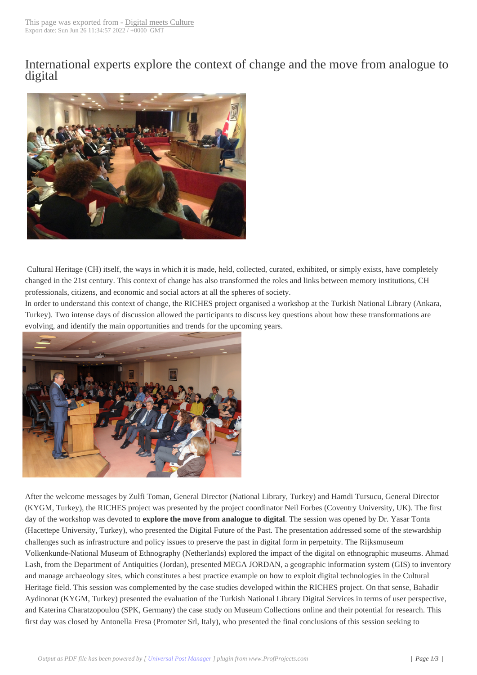International exper[ts explore the](http://www.digitalmeetsculture.net/?p=34538) context of change and the move from analogue to digital



Cultural Heritage (CH) itself, the ways in which it is made, held, collected, curated, exhibited, or simply exists, have completely changed in the 21st century. This context of change has also transformed the roles and links between memory institutions, CH professionals, citizens, and economic and social actors at all the spheres of society.

In order to understand this context of change, the RICHES project organised a workshop at the Turkish National Library (Ankara, Turkey). Two intense days of discussion allowed the participants to discuss key questions about how these transformations are evolving, and identify the main opportunities and trends for the upcoming years.



[After the welcome messages by Zulfi Toman, General Director \(Na](http://www.digitalmeetsculture.net/wp-content/uploads/2015/05/general.jpg)tional Library, Turkey) and Hamdi Tursucu, General Director (KYGM, Turkey), the RICHES project was presented by the project coordinator Neil Forbes (Coventry University, UK). The first day of the workshop was devoted to **explore the move from analogue to digital**. The session was opened by Dr. Yasar Tonta (Hacettepe University, Turkey), who presented the Digital Future of the Past. The presentation addressed some of the stewardship challenges such as infrastructure and policy issues to preserve the past in digital form in perpetuity. The Rijksmuseum Volkenkunde-National Museum of Ethnography (Netherlands) explored the impact of the digital on ethnographic museums. Ahmad Lash, from the Department of Antiquities (Jordan), presented MEGA JORDAN, a geographic information system (GIS) to inventory and manage archaeology sites, which constitutes a best practice example on how to exploit digital technologies in the Cultural Heritage field. This session was complemented by the case studies developed within the RICHES project. On that sense, Bahadir Aydinonat (KYGM, Turkey) presented the evaluation of the Turkish National Library Digital Services in terms of user perspective, and Katerina Charatzopoulou (SPK, Germany) the case study on Museum Collections online and their potential for research. This first day was closed by Antonella Fresa (Promoter Srl, Italy), who presented the final conclusions of this session seeking to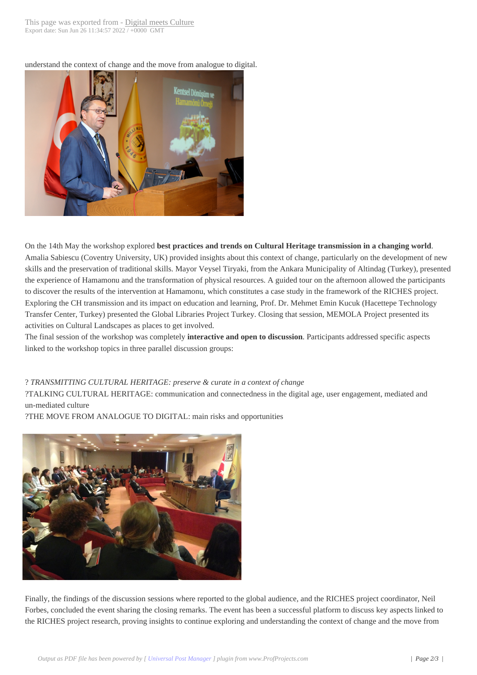understand the context of chan[ge and the move from](http://www.digitalmeetsculture.net/?p=34538) analogue to digital.



On the 14th May the workshop explored **best practices and trends on Cultural Heritage transmission in a changing world**. Amalia Sabiescu (Coventry University, UK) provided insights about this context of change, particularly on the development of new skills and the preservation of traditional skills. Mayor Veysel Tiryaki, from the Ankara Municipality of Altindag (Turkey), presented the experience of Hamamonu and the transformation of physical resources. A guided tour on the afternoon allowed the participants to discover the results of the intervention at Hamamonu, which constitutes a case study in the framework of the RICHES project. Exploring the CH transmission and its impact on education and learning, Prof. Dr. Mehmet Emin Kucuk (Hacettepe Technology Transfer Center, Turkey) presented the Global Libraries Project Turkey. Closing that session, MEMOLA Project presented its activities on Cultural Landscapes as places to get involved.

The final session of the workshop was completely **interactive and open to discussion**. Participants addressed specific aspects linked to the workshop topics in three parallel discussion groups:

## ?*TRANSMITTING CULTURAL HERITAGE: preserve & curate in a context of change*

 ?TALKING CULTURAL HERITAGE: communication and connectedness in the digital age, user engagement, mediated and un-mediated culture

 ?THE MOVE FROM ANALOGUE TO DIGITAL: main risks and opportunities



[Finally, the findings of the discussion sessions where reported to the](http://www.digitalmeetsculture.net/wp-content/uploads/2015/05/general2.jpg) global audience, and the RICHES project coordinator, Neil Forbes, concluded the event sharing the closing remarks. The event has been a successful platform to discuss key aspects linked to the RICHES project research, proving insights to continue exploring and understanding the context of change and the move from